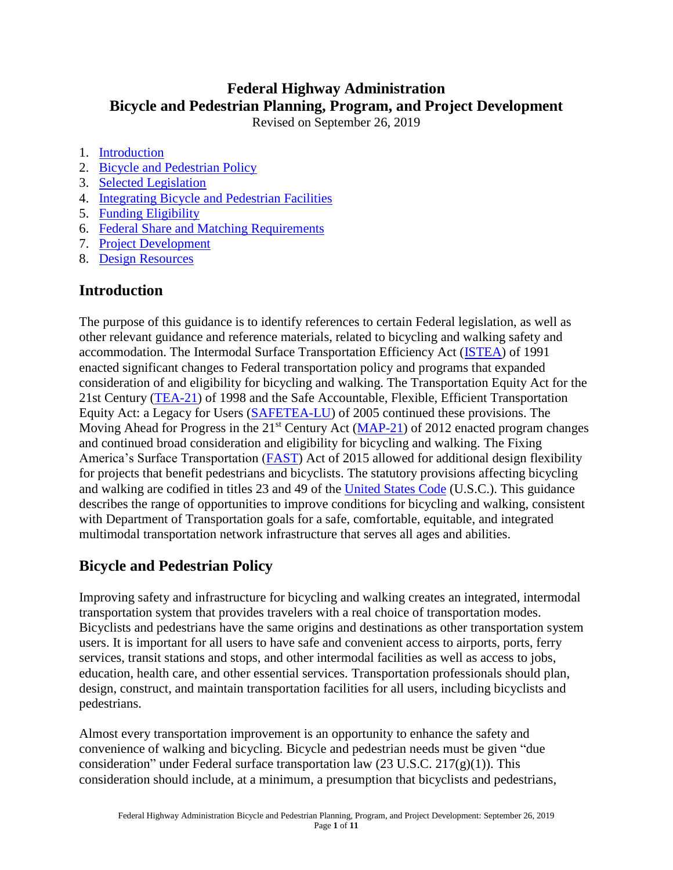# **Federal Highway Administration Bicycle and Pedestrian Planning, Program, and Project Development**

Revised on September 26, 2019

- 1. [Introduction](#page-0-0)
- 2. [Bicycle and Pedestrian Policy](#page-0-1)
- 3. [Selected Legislation](#page-1-0)
- 4. [Integrating Bicycle and Pedestrian Facilities](#page-3-0)
- 5. [Funding Eligibility](#page-4-0)
- 6. [Federal Share and Matching](#page-5-0) Requirements
- 7. [Project Development](#page-6-0)
- 8. [Design Resources](#page-8-0)

### <span id="page-0-0"></span>**[Introduction](#page-0-0)**

The purpose of this guidance is to identify references to certain Federal legislation, as well as other relevant guidance and reference materials, related to bicycling and walking safety and accommodation. The Intermodal Surface Transportation Efficiency Act [\(ISTEA\)](https://www.govinfo.gov/content/pkg/STATUTE-105/pdf/STATUTE-105-Pg1914.pdf) of 1991 enacted significant changes to Federal transportation policy and programs that expanded consideration of and eligibility for bicycling and walking. The Transportation Equity Act for the 21st Century [\(TEA-21\)](http://www.fhwa.dot.gov/tea21/) of 1998 and the Safe Accountable, Flexible, Efficient Transportation Equity Act: a Legacy for Users [\(SAFETEA-LU\)](http://www.fhwa.dot.gov/safetealu/) of 2005 continued these provisions. The Moving Ahead for Progress in the  $21<sup>st</sup>$  Century Act [\(MAP-21\)](http://www.fhwa.dot.gov/MAP21/) of 2012 enacted program changes and continued broad consideration and eligibility for bicycling and walking. The Fixing America's Surface Transportation [\(FAST\)](https://www.fhwa.dot.gov/fastact/) Act of 2015 allowed for additional design flexibility for projects that benefit pedestrians and bicyclists. The statutory provisions affecting bicycling and walking are codified in titles 23 and 49 of the [United States Code](https://www.govinfo.gov/app/collection/USCODE) (U.S.C.). This guidance describes the range of opportunities to improve conditions for bicycling and walking, consistent with Department of Transportation goals for a safe, comfortable, equitable, and integrated multimodal transportation network infrastructure that serves all ages and abilities.

## <span id="page-0-1"></span>**Bicycle and Pedestrian Policy**

Improving safety and infrastructure for bicycling and walking creates an integrated, intermodal transportation system that provides travelers with a real choice of transportation modes. Bicyclists and pedestrians have the same origins and destinations as other transportation system users. It is important for all users to have safe and convenient access to airports, ports, ferry services, transit stations and stops, and other intermodal facilities as well as access to jobs, education, health care, and other essential services. Transportation professionals should plan, design, construct, and maintain transportation facilities for all users, including bicyclists and pedestrians.

Almost every transportation improvement is an opportunity to enhance the safety and convenience of walking and bicycling. Bicycle and pedestrian needs must be given "due consideration" under Federal surface transportation law  $(23 \text{ U.S.C. } 217(g)(1))$ . This consideration should include, at a minimum, a presumption that bicyclists and pedestrians,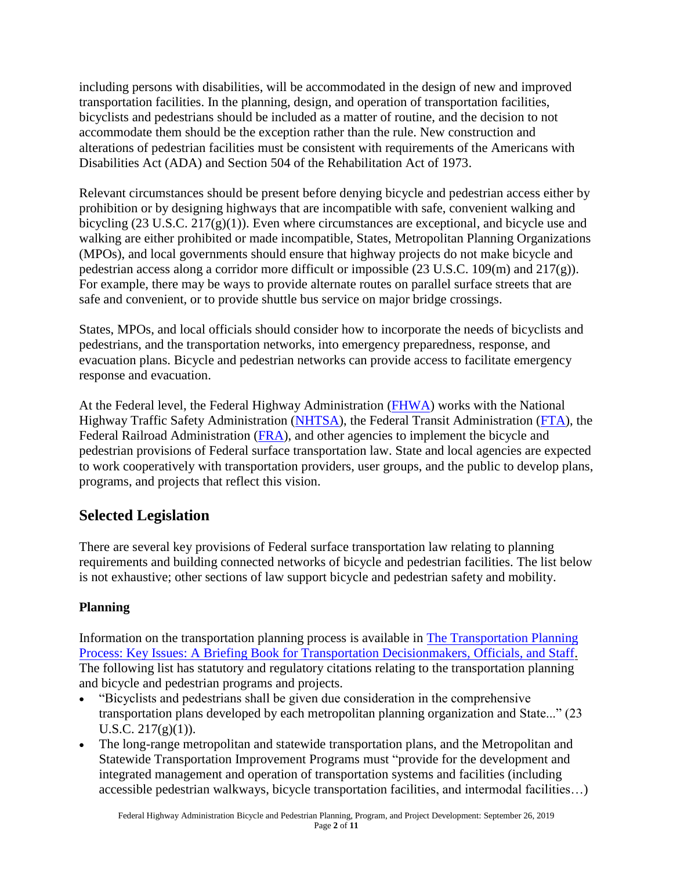including persons with disabilities, will be accommodated in the design of new and improved transportation facilities. In the planning, design, and operation of transportation facilities, bicyclists and pedestrians should be included as a matter of routine, and the decision to not accommodate them should be the exception rather than the rule. New construction and alterations of pedestrian facilities must be consistent with requirements of the Americans with Disabilities Act (ADA) and Section 504 of the Rehabilitation Act of 1973.

Relevant circumstances should be present before denying bicycle and pedestrian access either by prohibition or by designing highways that are incompatible with safe, convenient walking and bicycling (23 U.S.C. 217(g)(1)). Even where circumstances are exceptional, and bicycle use and walking are either prohibited or made incompatible, States, Metropolitan Planning Organizations (MPOs), and local governments should ensure that highway projects do not make bicycle and pedestrian access along a corridor more difficult or impossible (23 U.S.C. 109(m) and 217(g)). For example, there may be ways to provide alternate routes on parallel surface streets that are safe and convenient, or to provide shuttle bus service on major bridge crossings.

States, MPOs, and local officials should consider how to incorporate the needs of bicyclists and pedestrians, and the transportation networks, into emergency preparedness, response, and evacuation plans. Bicycle and pedestrian networks can provide access to facilitate emergency response and evacuation.

At the Federal level, the Federal Highway Administration [\(FHWA\)](http://www.fhwa.dot.gov/) works with the National Highway Traffic Safety Administration [\(NHTSA\),](https://www.nhtsa.gov/road-safety/pedestrian-safety) the Federal Transit Administration [\(FTA\),](https://www.transit.dot.gov/regulations-and-guidance/environmental-programs/livable-sustainable-communities/bicycles-transit) the Federal Railroad Administration [\(FRA\)](http://www.fra.dot.gov/Page/P0001), and other agencies to implement the bicycle and pedestrian provisions of Federal surface transportation law. State and local agencies are expected to work cooperatively with transportation providers, user groups, and the public to develop plans, programs, and projects that reflect this vision.

## <span id="page-1-0"></span>**[Selected Legislation](#page-1-0)**

There are several key provisions of Federal surface transportation law relating to planning requirements and building connected networks of bicycle and pedestrian facilities. The list below is not exhaustive; other sections of law support bicycle and pedestrian safety and mobility.

### **Planning**

Information on the transportation planning process is available in [The Transportation Planning](https://www.fhwa.dot.gov/planning/publications/briefing_book/) [Process: Key Issues: A Briefing Book for Transportation Decisionmakers, Officials, and Staff.](http://www.planning.dot.gov/documents/briefingbook/bbook.htm) The following list has statutory and regulatory citations relating to the transportation planning and bicycle and pedestrian programs and projects.

- "Bicyclists and pedestrians shall be given due consideration in the comprehensive transportation plans developed by each metropolitan planning organization and State..." (23 U.S.C.  $217(g)(1)$ ).
- The long-range metropolitan and statewide transportation plans, and the Metropolitan and Statewide Transportation Improvement Programs must "provide for the development and integrated management and operation of transportation systems and facilities (including accessible pedestrian walkways, bicycle transportation facilities, and intermodal facilities…)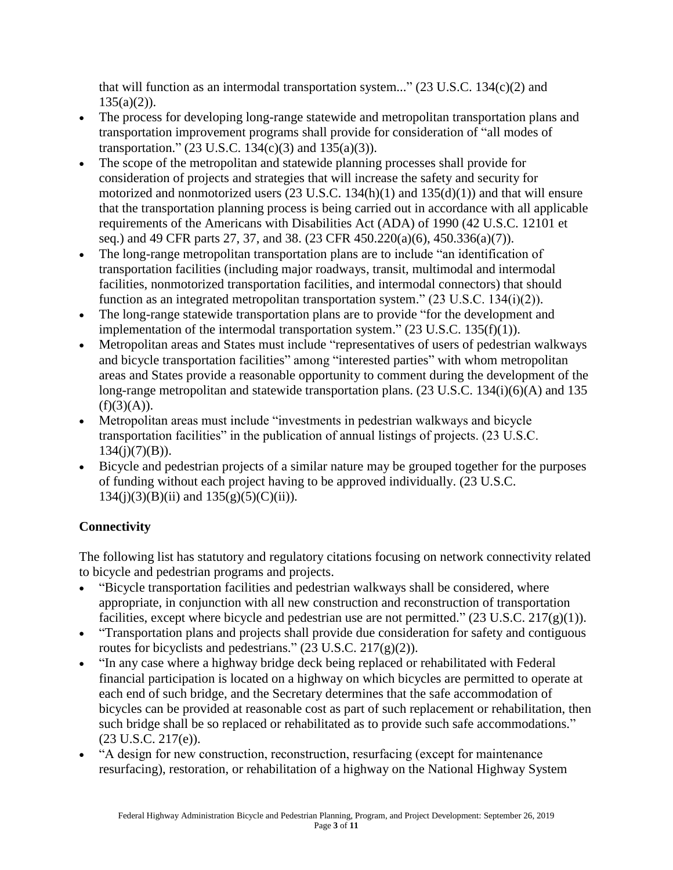that will function as an intermodal transportation system..."  $(23 \text{ U.S.C. } 134 \text{ (c)}(2)$  and  $135(a)(2)$ ).

- The process for developing long-range statewide and metropolitan transportation plans and transportation improvement programs shall provide for consideration of "all modes of transportation."  $(23 \text{ U.S.C. } 134(c)(3)$  and  $135(a)(3)$ ).
- The scope of the metropolitan and statewide planning processes shall provide for consideration of projects and strategies that will increase the safety and security for motorized and nonmotorized users  $(23 \text{ U.S.C. } 134(h)(1)$  and  $135(d)(1))$  and that will ensure that the transportation planning process is being carried out in accordance with all applicable requirements of the Americans with Disabilities Act (ADA) of 1990 (42 U.S.C. 12101 et seq.) and 49 CFR parts 27, 37, and 38. (23 CFR 450.220(a)(6), 450.336(a)(7)).
- The long-range metropolitan transportation plans are to include "an identification of transportation facilities (including major roadways, transit, multimodal and intermodal facilities, nonmotorized transportation facilities, and intermodal connectors) that should function as an integrated metropolitan transportation system."  $(23 \text{ U.S.C. } 134(i)(2))$ .
- The long-range statewide transportation plans are to provide "for the development and implementation of the intermodal transportation system."  $(23 \text{ U.S.C. } 135(f)(1))$ .
- Metropolitan areas and States must include "representatives of users of pedestrian walkways and bicycle transportation facilities" among "interested parties" with whom metropolitan areas and States provide a reasonable opportunity to comment during the development of the long-range metropolitan and statewide transportation plans. (23 U.S.C. 134(i)(6)(A) and 135  $(f)(3)(A)).$
- Metropolitan areas must include "investments in pedestrian walkways and bicycle transportation facilities" in the publication of annual listings of projects. (23 U.S.C.  $134(j)(7)(B)$ ).
- Bicycle and pedestrian projects of a similar nature may be grouped together for the purposes of funding without each project having to be approved individually. (23 U.S.C.  $134(i)(3)(B)(ii)$  and  $135(g)(5)(C)(ii)$ ).

### **Connectivity**

The following list has statutory and regulatory citations focusing on network connectivity related to bicycle and pedestrian programs and projects.

- "Bicycle transportation facilities and pedestrian walkways shall be considered, where appropriate, in conjunction with all new construction and reconstruction of transportation facilities, except where bicycle and pedestrian use are not permitted."  $(23 \text{ U.S.C. } 217(g)(1))$ .
- "Transportation plans and projects shall provide due consideration for safety and contiguous routes for bicyclists and pedestrians."  $(23 \text{ U.S.C. } 217(g)(2))$ .
- "In any case where a highway bridge deck being replaced or rehabilitated with Federal financial participation is located on a highway on which bicycles are permitted to operate at each end of such bridge, and the Secretary determines that the safe accommodation of bicycles can be provided at reasonable cost as part of such replacement or rehabilitation, then such bridge shall be so replaced or rehabilitated as to provide such safe accommodations." (23 U.S.C. 217(e)).
- "A design for new construction, reconstruction, resurfacing (except for maintenance resurfacing), restoration, or rehabilitation of a highway on the National Highway System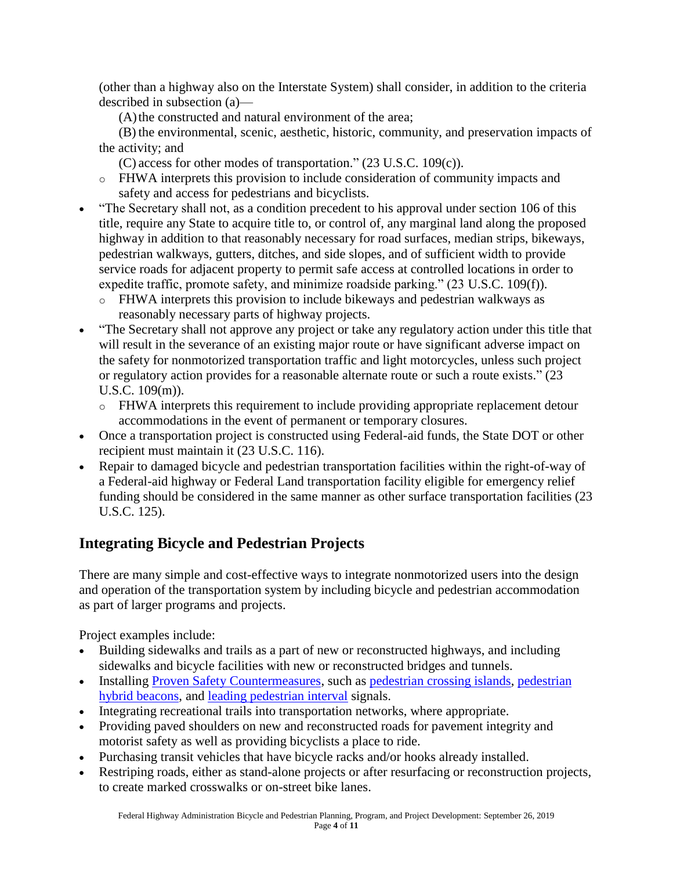(other than a highway also on the Interstate System) shall consider, in addition to the criteria described in subsection (a)—

(A) the constructed and natural environment of the area;

(B) the environmental, scenic, aesthetic, historic, community, and preservation impacts of the activity; and

(C) access for other modes of transportation." (23 U.S.C. 109(c)).

- o FHWA interprets this provision to include consideration of community impacts and safety and access for pedestrians and bicyclists.
- "The Secretary shall not, as a condition precedent to his approval under section 106 of this title, require any State to acquire title to, or control of, any marginal land along the proposed highway in addition to that reasonably necessary for road surfaces, median strips, bikeways, pedestrian walkways, gutters, ditches, and side slopes, and of sufficient width to provide service roads for adjacent property to permit safe access at controlled locations in order to expedite traffic, promote safety, and minimize roadside parking." (23 U.S.C. 109(f)).
	- o FHWA interprets this provision to include bikeways and pedestrian walkways as reasonably necessary parts of highway projects.
- "The Secretary shall not approve any project or take any regulatory action under this title that will result in the severance of an existing major route or have significant adverse impact on the safety for nonmotorized transportation traffic and light motorcycles, unless such project or regulatory action provides for a reasonable alternate route or such a route exists." (23 U.S.C. 109(m)).
	- o FHWA interprets this requirement to include providing appropriate replacement detour accommodations in the event of permanent or temporary closures.
- Once a transportation project is constructed using Federal-aid funds, the State DOT or other recipient must maintain it (23 U.S.C. 116).
- Repair to damaged bicycle and pedestrian transportation facilities within the right-of-way of a Federal-aid highway or Federal Land transportation facility eligible for emergency relief funding should be considered in the same manner as other surface transportation facilities (23 U.S.C. 125).

## <span id="page-3-0"></span>**Integrating Bicycle and Pedestrian Projects**

There are many simple and cost-effective ways to integrate nonmotorized users into the design and operation of the transportation system by including bicycle and pedestrian accommodation as part of larger programs and projects.

Project examples include:

- Building sidewalks and trails as a part of new or reconstructed highways, and including sidewalks and bicycle facilities with new or reconstructed bridges and tunnels.
- Installing [Proven Safety Countermeasures,](https://safety.fhwa.dot.gov/provencountermeasures/) such as [pedestrian crossing islands,](https://safety.fhwa.dot.gov/provencountermeasures/ped_medians/) [pedestrian](https://safety.fhwa.dot.gov/provencountermeasures/ped_hybrid_beacon/)  [hybrid beacons,](https://safety.fhwa.dot.gov/provencountermeasures/ped_hybrid_beacon/) and [leading pedestrian interval](https://safety.fhwa.dot.gov/provencountermeasures/lead_ped_int/) signals.
- Integrating recreational trails into transportation networks, where appropriate.
- Providing paved shoulders on new and reconstructed roads for pavement integrity and motorist safety as well as providing bicyclists a place to ride.
- Purchasing transit vehicles that have bicycle racks and/or hooks already installed.
- Restriping roads, either as stand-alone projects or after resurfacing or reconstruction projects, to create marked crosswalks or on-street bike lanes.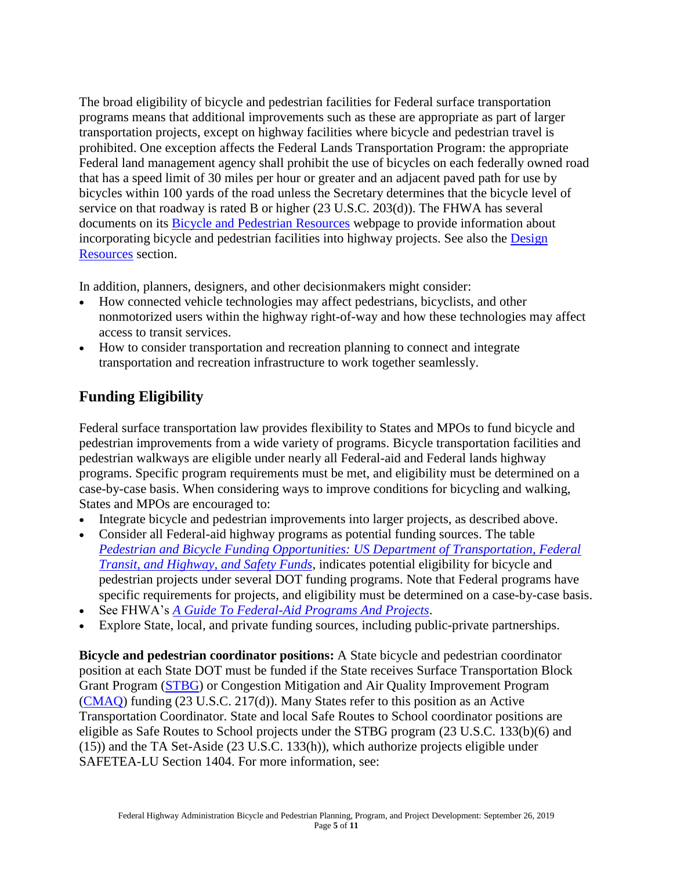The broad eligibility of bicycle and pedestrian facilities for Federal surface transportation programs means that additional improvements such as these are appropriate as part of larger transportation projects, except on highway facilities where bicycle and pedestrian travel is prohibited. One exception affects the Federal Lands Transportation Program: the appropriate Federal land management agency shall prohibit the use of bicycles on each federally owned road that has a speed limit of 30 miles per hour or greater and an adjacent paved path for use by bicycles within 100 yards of the road unless the Secretary determines that the bicycle level of service on that roadway is rated B or higher (23 U.S.C. 203(d)). The FHWA has several documents on its [Bicycle and Pedestrian Resources](http://www.fhwa.dot.gov/environment/bicycle_pedestrian/resources/) webpage to provide information about incorporating bicycle and pedestrian facilities into highway projects. See also the **Design** [Resources](#page-8-0) section.

In addition, planners, designers, and other decisionmakers might consider:

- How connected vehicle technologies may affect pedestrians, bicyclists, and other nonmotorized users within the highway right-of-way and how these technologies may affect access to transit services.
- How to consider transportation and recreation planning to connect and integrate transportation and recreation infrastructure to work together seamlessly.

## <span id="page-4-0"></span>**[Funding Eligibility](#page-3-0)**

Federal surface transportation law provides flexibility to States and MPOs to fund bicycle and pedestrian improvements from a wide variety of programs. Bicycle transportation facilities and pedestrian walkways are eligible under nearly all Federal-aid and Federal lands highway programs. Specific program requirements must be met, and eligibility must be determined on a case-by-case basis. When considering ways to improve conditions for bicycling and walking, States and MPOs are encouraged to:

- Integrate bicycle and pedestrian improvements into larger projects, as described above.
- Consider all Federal-aid highway programs as potential funding sources. The table *[Pedestrian and Bicycle Funding Opportunities: US Department of Transportation, Federal](http://www.fhwa.dot.gov/environment/bicycle_pedestrian/funding/funding_opportunities.cfm)  [Transit, and Highway, and Safety](http://www.fhwa.dot.gov/environment/bicycle_pedestrian/funding/funding_opportunities.cfm) Funds*, indicates potential eligibility for bicycle and pedestrian projects under several DOT funding programs. Note that Federal programs have specific requirements for projects, and eligibility must be determined on a case-by-case basis.
- See FHWA's *[A Guide To Federal-Aid Programs And Projects](https://www.fhwa.dot.gov/federalaid/projects.cfm)*.
- Explore State, local, and private funding sources, including public-private partnerships.

**Bicycle and pedestrian coordinator positions:** A State bicycle and pedestrian coordinator position at each State DOT must be funded if the State receives Surface Transportation Block Grant Program [\(STBG\)](https://www.fhwa.dot.gov/specialfunding/stp/160307.cfm#d) or Congestion Mitigation and Air Quality Improvement Program [\(CMAQ\)](https://www.fhwa.dot.gov/fastact/factsheets/cmaqfs.cfm) funding (23 U.S.C. 217(d)). Many States refer to this position as an Active Transportation Coordinator. State and local Safe Routes to School coordinator positions are eligible as Safe Routes to School projects under the STBG program (23 U.S.C. 133(b)(6) and (15)) and the TA Set-Aside (23 U.S.C. 133(h)), which authorize projects eligible under SAFETEA-LU Section 1404. For more information, see: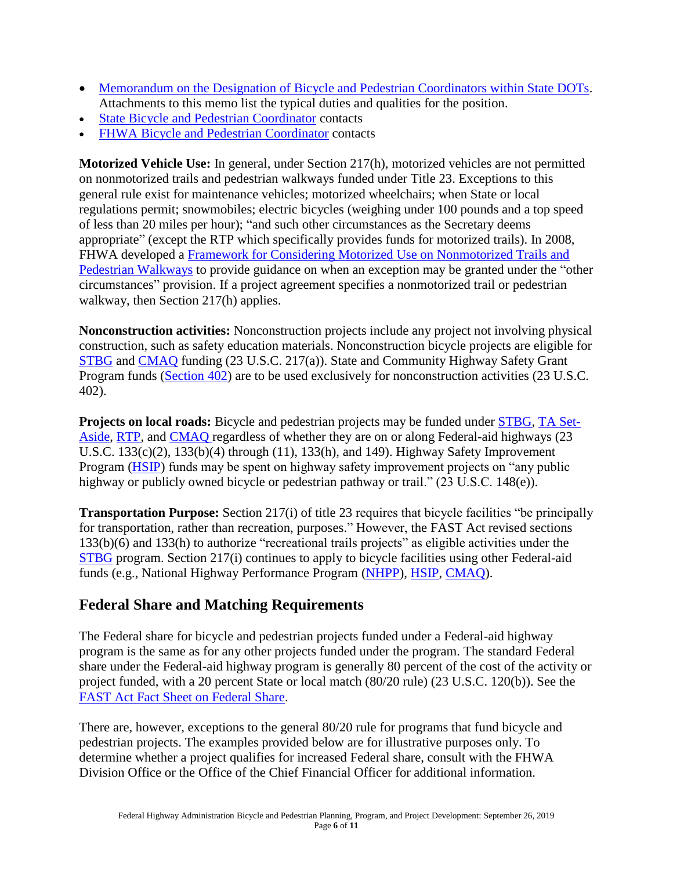- [Memorandum on the Designation of Bicycle and Pedestrian Coordinators within State DOTs.](http://www.fhwa.dot.gov/environment/bicycle_pedestrian/legislation/desigcoord.cfm) Attachments to this memo list the typical duties and qualities for the position.
- [State Bicycle and Pedestrian Coordinator](http://www.fhwa.dot.gov/environment/bicycle_pedestrian/state_contacts.cfm) contacts
- [FHWA Bicycle and Pedestrian Coordinator](http://www.fhwa.dot.gov/environment/bicycle_pedestrian/state_fhwa_contacts.cfm) contacts

**Motorized Vehicle Use:** In general, under Section 217(h), motorized vehicles are not permitted on nonmotorized trails and pedestrian walkways funded under Title 23. Exceptions to this general rule exist for maintenance vehicles; motorized wheelchairs; when State or local regulations permit; snowmobiles; electric bicycles (weighing under 100 pounds and a top speed of less than 20 miles per hour); "and such other circumstances as the Secretary deems appropriate" (except the RTP which specifically provides funds for motorized trails). In 2008, FHWA developed a [Framework for Considering Motorized Use on Nonmotorized Trails and](https://www.fhwa.dot.gov/environment/bicycle_pedestrian/guidance/framework.cfm)  [Pedestrian Walkways](https://www.fhwa.dot.gov/environment/bicycle_pedestrian/guidance/framework.cfm) to provide guidance on when an exception may be granted under the "other circumstances" provision. If a project agreement specifies a nonmotorized trail or pedestrian walkway, then Section 217(h) applies.

**Nonconstruction activities:** Nonconstruction projects include any project not involving physical construction, such as safety education materials. Nonconstruction bicycle projects are eligible for [STBG](https://www.fhwa.dot.gov/specialfunding/stp/160307.cfm#d) and [CMAQ](https://www.fhwa.dot.gov/fastact/factsheets/cmaqfs.cfm) funding (23 U.S.C. 217(a)). State and Community Highway Safety Grant Program funds [\(Section 402\)](https://www.govinfo.gov/content/pkg/USCODE-2011-title23/html/USCODE-2011-title23-chap4-sec402.htm) are to be used exclusively for nonconstruction activities (23 U.S.C. 402).

**Projects on local roads:** Bicycle and pedestrian projects may be funded under [STBG,](https://www.fhwa.dot.gov/specialfunding/stp/160307.cfm#d) TA [Set-](https://www.fhwa.dot.gov/environment/transportation_alternatives/guidance/guidance_2016.cfm#EligibleProjects)[Aside,](https://www.fhwa.dot.gov/environment/transportation_alternatives/guidance/guidance_2016.cfm#EligibleProjects) [RTP,](https://www.fhwa.dot.gov/environment/recreational_trails/guidance/rtp9908_pt2.cfm#rtp16) and [CMAQ](https://www.fhwa.dot.gov/fastact/factsheets/cmaqfs.cfm) regardless of whether they are on or along Federal-aid highways (23 U.S.C. 133(c)(2), 133(b)(4) through (11), 133(h), and 149). Highway Safety Improvement Program [\(HSIP\)](https://safety.fhwa.dot.gov/hsip/) funds may be spent on highway safety improvement projects on "any public highway or publicly owned bicycle or pedestrian pathway or trail." (23 U.S.C. 148(e)).

**Transportation Purpose:** Section 217(i) of title 23 requires that bicycle facilities "be principally for transportation, rather than recreation, purposes." However, the FAST Act revised sections 133(b)(6) and 133(h) to authorize "recreational trails projects" as eligible activities under the [STBG](https://www.fhwa.dot.gov/specialfunding/stp/160307.cfm#d) program. Section 217(i) continues to apply to bicycle facilities using other Federal-aid funds (e.g., National Highway Performance Program [\(NHPP\)](https://www.fhwa.dot.gov/specialfunding/nhpp/160309.cfm), [HSIP,](https://safety.fhwa.dot.gov/hsip/) [CMAQ\)](https://www.fhwa.dot.gov/fastact/factsheets/cmaqfs.cfm).

### <span id="page-5-0"></span>**Federal Share and Matching Requirements**

The Federal share for bicycle and pedestrian projects funded under a Federal-aid highway program is the same as for any other projects funded under the program. The standard Federal share under the Federal-aid highway program is generally 80 percent of the cost of the activity or project funded, with a 20 percent State or local match (80/20 rule) (23 U.S.C. 120(b)). See the [FAST Act Fact Sheet on Federal Share.](https://www.fhwa.dot.gov/fastact/factsheets/federalsharefs.cfm)

There are, however, exceptions to the general 80/20 rule for programs that fund bicycle and pedestrian projects. The examples provided below are for illustrative purposes only. To determine whether a project qualifies for increased Federal share, consult with the FHWA Division Office or the Office of the Chief Financial Officer for additional information.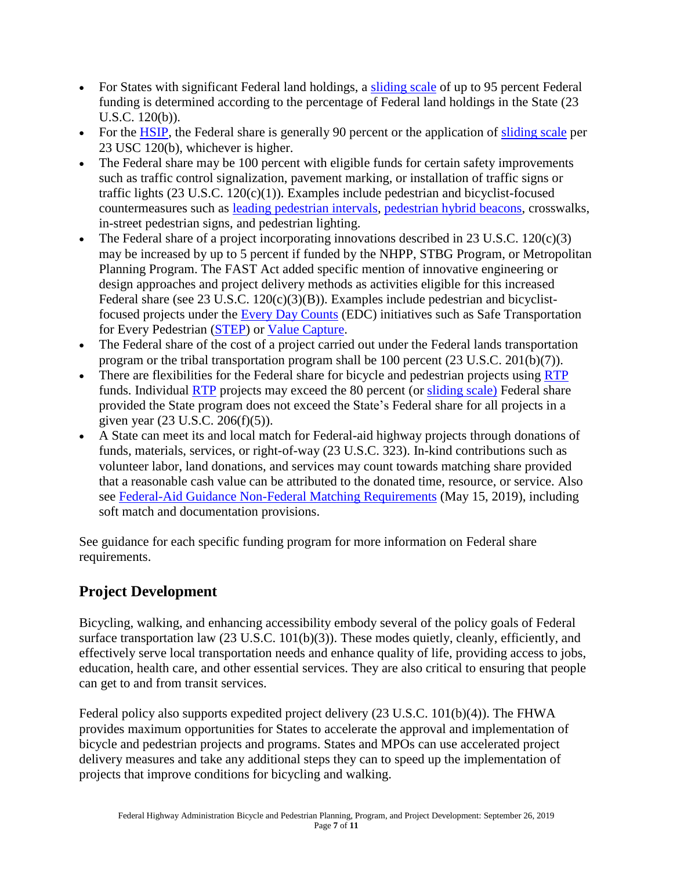- For States with significant Federal land holdings, a [sliding scale](http://www.fhwa.dot.gov/legsregs/directives/notices/n4540-12a1.cfm) of up to 95 percent Federal funding is determined according to the percentage of Federal land holdings in the State (23 U.S.C. 120(b)).
- For the [HSIP,](https://safety.fhwa.dot.gov/hsip/) the Federal share is generally 90 percent or the application of [sliding scale](https://www.fhwa.dot.gov/legsregs/directives/notices/n4540-12a1.cfm) per 23 USC 120(b), whichever is higher.
- The Federal share may be 100 percent with eligible funds for certain safety improvements such as traffic control signalization, pavement marking, or installation of traffic signs or traffic lights (23 U.S.C. 120(c)(1)). Examples include pedestrian and bicyclist-focused countermeasures such as [leading pedestrian intervals,](https://safety.fhwa.dot.gov/provencountermeasures/lead_ped_int/) [pedestrian hybrid beacons,](https://safety.fhwa.dot.gov/provencountermeasures/ped_hybrid_beacon/) crosswalks, in-street pedestrian signs, and pedestrian lighting.
- The Federal share of a project incorporating innovations described in 23 U.S.C. 120(c)(3) may be increased by up to 5 percent if funded by the NHPP, STBG Program, or Metropolitan Planning Program. The FAST Act added specific mention of innovative engineering or design approaches and project delivery methods as activities eligible for this increased Federal share (see 23 U.S.C. 120(c)(3)(B)). Examples include pedestrian and bicyclistfocused projects under the [Every Day Counts](https://www.fhwa.dot.gov/innovation/everydaycounts/) (EDC) initiatives such as Safe Transportation for Every Pedestrian [\(STEP\)](https://www.fhwa.dot.gov/innovation/everydaycounts/edc_5/step2.cfm) or [Value Capture.](https://www.fhwa.dot.gov/innovation/everydaycounts/edc_5/value_capture.cfm)
- The Federal share of the cost of a project carried out under the Federal lands transportation program or the tribal transportation program shall be 100 percent (23 U.S.C. 201(b)(7)).
- There are flexibilities for the Federal share for bicycle and pedestrian projects using [RTP](http://www.fhwa.dot.gov/environment/recreational_trails/guidance/matchingfunds.cfm) funds. Individual [RTP](http://www.fhwa.dot.gov/environment/recreational_trails/guidance/matchingfunds.cfm) projects may exceed the 80 percent (or [sliding scale\)](http://www.fhwa.dot.gov/legsregs/directives/notices/n4540-12a1.cfm) Federal share provided the State program does not exceed the State's Federal share for all projects in a given year (23 U.S.C. 206(f)(5)).
- A State can meet its and local match for Federal-aid highway projects through donations of funds, materials, services, or right-of-way (23 U.S.C. 323). In-kind contributions such as volunteer labor, land donations, and services may count towards matching share provided that a reasonable cash value can be attributed to the donated time, resource, or service. Also see [Federal-Aid Guidance Non-Federal Matching Requirements](https://www.fhwa.dot.gov/legsregs/directives/policy/memonfmr_tapered20190515.htm) (May 15, 2019), including soft match and documentation provisions.

See guidance for each specific funding program for more information on Federal share requirements.

## <span id="page-6-0"></span>**Project Development**

Bicycling, walking, and enhancing accessibility embody several of the policy goals of Federal surface transportation law (23 U.S.C. 101(b)(3)). These modes quietly, cleanly, efficiently, and effectively serve local transportation needs and enhance quality of life, providing access to jobs, education, health care, and other essential services. They are also critical to ensuring that people can get to and from transit services.

Federal policy also supports expedited project delivery (23 U.S.C. 101(b)(4)). The FHWA provides maximum opportunities for States to accelerate the approval and implementation of bicycle and pedestrian projects and programs. States and MPOs can use accelerated project delivery measures and take any additional steps they can to speed up the implementation of projects that improve conditions for bicycling and walking.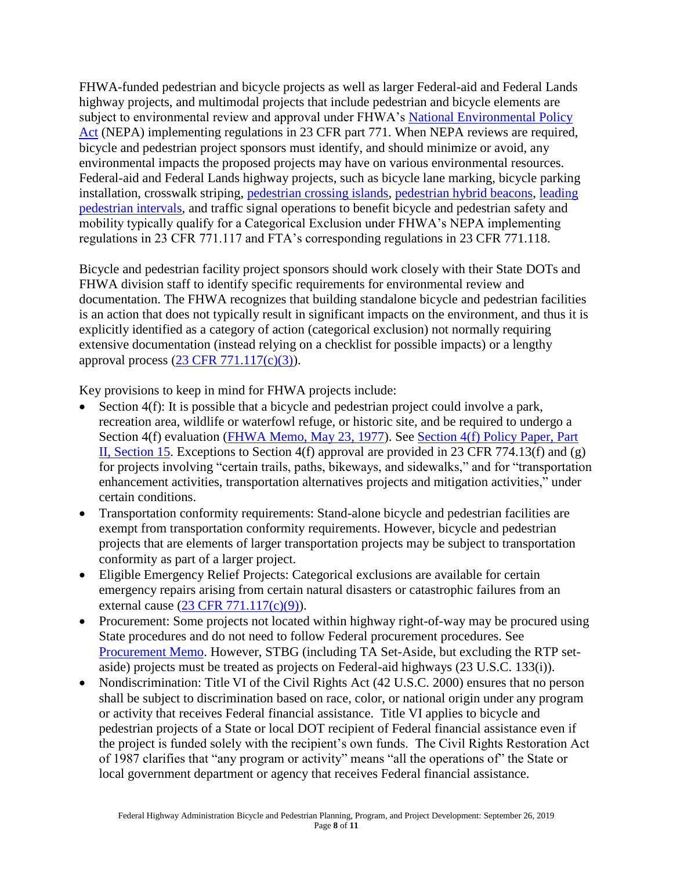FHWA-funded pedestrian and bicycle projects as well as larger Federal-aid and Federal Lands highway projects, and multimodal projects that include pedestrian and bicycle elements are subject to environmental review and approval under FHWA's [National Environmental Policy](https://www.environment.fhwa.dot.gov/nepa/nepa_projDev.aspx)  [Act](https://www.environment.fhwa.dot.gov/nepa/nepa_projDev.aspx) (NEPA) implementing regulations in 23 CFR part 771. When NEPA reviews are required, bicycle and pedestrian project sponsors must identify, and should minimize or avoid, any environmental impacts the proposed projects may have on various environmental resources. Federal-aid and Federal Lands highway projects, such as bicycle lane marking, bicycle parking installation, crosswalk striping, [pedestrian crossing islands,](https://safety.fhwa.dot.gov/provencountermeasures/ped_medians/) [pedestrian hybrid beacons,](https://safety.fhwa.dot.gov/provencountermeasures/ped_hybrid_beacon/) [leading](https://safety.fhwa.dot.gov/provencountermeasures/lead_ped_int/)  [pedestrian intervals,](https://safety.fhwa.dot.gov/provencountermeasures/lead_ped_int/) and traffic signal operations to benefit bicycle and pedestrian safety and mobility typically qualify for a Categorical Exclusion under FHWA's NEPA implementing regulations in 23 CFR 771.117 and FTA's corresponding regulations in 23 CFR 771.118.

Bicycle and pedestrian facility project sponsors should work closely with their State DOTs and FHWA division staff to identify specific requirements for environmental review and documentation. The FHWA recognizes that building standalone bicycle and pedestrian facilities is an action that does not typically result in significant impacts on the environment, and thus it is explicitly identified as a category of action (categorical exclusion) not normally requiring extensive documentation (instead relying on a checklist for possible impacts) or a lengthy approval process [\(23 CFR 771.117\(c\)\(3\)\)](https://www.ecfr.gov/cgi-bin/text-idx?SID=e0e6b4fa49b73c6f7e84bf668824a0ed&mc=true&node=pt23.1.771&rgn=div5).

Key provisions to keep in mind for FHWA projects include:

- Section 4(f): It is possible that a bicycle and pedestrian project could involve a park, recreation area, wildlife or waterfowl refuge, or historic site, and be required to undergo a Section 4(f) evaluation [\(FHWA Memo, May 23, 1977\)](http://www.environment.fhwa.dot.gov/4f/4fbikeways.asp). See Section 4(f) Policy Paper, Part [II, Section 15.](http://www.environment.fhwa.dot.gov/4f/4fpolicy.asp) Exceptions to Section 4(f) approval are provided in 23 CFR 774.13(f) and (g) for projects involving "certain trails, paths, bikeways, and sidewalks," and for "transportation enhancement activities, transportation alternatives projects and mitigation activities," under certain conditions.
- Transportation conformity requirements: Stand-alone bicycle and pedestrian facilities are exempt from transportation conformity requirements. However, bicycle and pedestrian projects that are elements of larger transportation projects may be subject to transportation conformity as part of a larger project.
- Eligible Emergency Relief Projects: Categorical exclusions are available for certain emergency repairs arising from certain natural disasters or catastrophic failures from an external cause [\(23 CFR 771.117\(c\)\(9\)\)](https://www.ecfr.gov/cgi-bin/text-idx?SID=e0e6b4fa49b73c6f7e84bf668824a0ed&mc=true&node=pt23.1.771&rgn=div5).
- Procurement: Some projects not located within highway right-of-way may be procured using State procedures and do not need to follow Federal procurement procedures. See [Procurement Memo.](https://www.fhwa.dot.gov/construction/080625.cfm) However, STBG (including TA Set-Aside, but excluding the RTP setaside) projects must be treated as projects on Federal-aid highways (23 U.S.C. 133(i)).
- Nondiscrimination: Title VI of the Civil Rights Act (42 U.S.C. 2000) ensures that no person shall be subject to discrimination based on race, color, or national origin under any program or activity that receives Federal financial assistance. Title VI applies to bicycle and pedestrian projects of a State or local DOT recipient of Federal financial assistance even if the project is funded solely with the recipient's own funds. The Civil Rights Restoration Act of 1987 clarifies that "any program or activity" means "all the operations of" the State or local government department or agency that receives Federal financial assistance.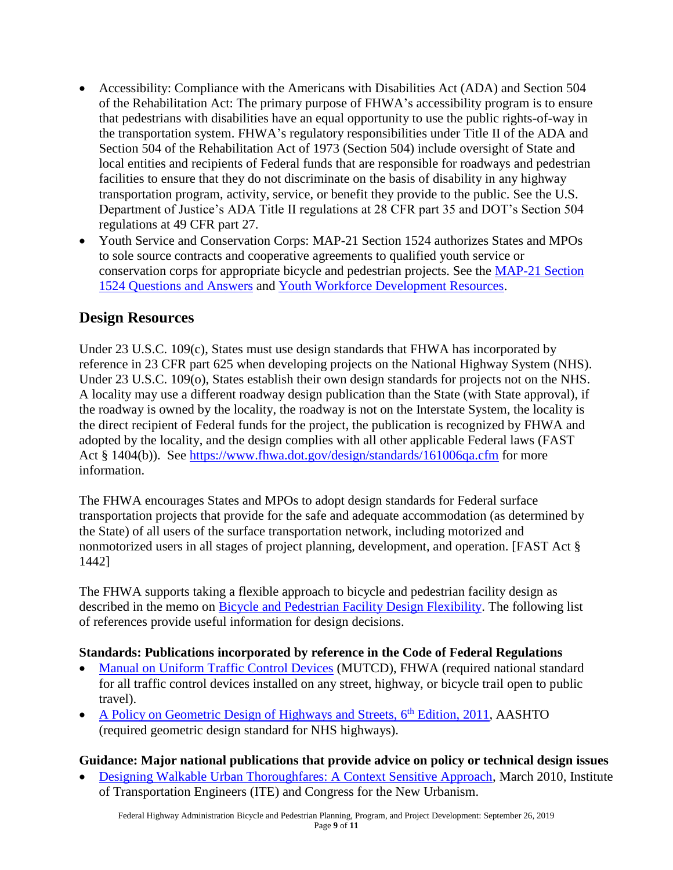- Accessibility: Compliance with the Americans with Disabilities Act (ADA) and Section 504 of the Rehabilitation Act: The primary purpose of FHWA's accessibility program is to ensure that pedestrians with disabilities have an equal opportunity to use the public rights-of-way in the transportation system. FHWA's regulatory responsibilities under Title II of the ADA and Section 504 of the Rehabilitation Act of 1973 (Section 504) include oversight of State and local entities and recipients of Federal funds that are responsible for roadways and pedestrian facilities to ensure that they do not discriminate on the basis of disability in any highway transportation program, activity, service, or benefit they provide to the public. See the U.S. Department of Justice's ADA Title II regulations at 28 CFR part 35 and DOT's Section 504 regulations at 49 CFR part 27.
- Youth Service and Conservation Corps: MAP-21 Section 1524 authorizes States and MPOs to sole source contracts and cooperative agreements to qualified youth service or conservation corps for appropriate bicycle and pedestrian projects. See the [MAP-21 Section](http://www.fhwa.dot.gov/map21/qandas/qayscc.cfm)  [1524 Questions and Answers](http://www.fhwa.dot.gov/map21/qandas/qayscc.cfm) and [Youth Workforce Development Resources.](https://www.fhwa.dot.gov/environment/transportation_alternatives/guidance/youth_workforcedev_2018.cfm)

#### <span id="page-8-0"></span>**Design Resources**

Under 23 U.S.C. 109(c), States must use design standards that FHWA has incorporated by reference in 23 CFR part 625 when developing projects on the National Highway System (NHS). Under 23 U.S.C. 109(o), States establish their own design standards for projects not on the NHS. A locality may use a different roadway design publication than the State (with State approval), if the roadway is owned by the locality, the roadway is not on the Interstate System, the locality is the direct recipient of Federal funds for the project, the publication is recognized by FHWA and adopted by the locality, and the design complies with all other applicable Federal laws (FAST Act § 1404(b)). See<https://www.fhwa.dot.gov/design/standards/161006qa.cfm> for more information.

The FHWA encourages States and MPOs to adopt design standards for Federal surface transportation projects that provide for the safe and adequate accommodation (as determined by the State) of all users of the surface transportation network, including motorized and nonmotorized users in all stages of project planning, development, and operation. [FAST Act § 1442]

The FHWA supports taking a flexible approach to bicycle and pedestrian facility design as described in the memo on [Bicycle and Pedestrian Facility Design Flexibility.](https://www.fhwa.dot.gov/environment/bicycle_pedestrian/guidance/design_flexibility.cfm) The following list of references provide useful information for design decisions.

#### **Standards: Publications incorporated by reference in the Code of Federal Regulations**

- [Manual on Uniform Traffic Control Devices](http://mutcd.fhwa.dot.gov/) (MUTCD), FHWA (required national standard for all traffic control devices installed on any street, highway, or bicycle trail open to public travel).
- [A Policy on Geometric Design of Highways and Streets, 6](https://store.transportation.org/item/collectiondetail/180)<sup>th</sup> Edition, 2011, AASHTO (required geometric design standard for NHS highways).

#### **Guidance: Major national publications that provide advice on policy or technical design issues**

• [Designing Walkable Urban Thoroughfares: A Context Sensitive Approach,](https://ecommerce.ite.org/IMIS/ItemDetail?iProductCode=RP-036A-E) March 2010, Institute of Transportation Engineers (ITE) and Congress for the New Urbanism.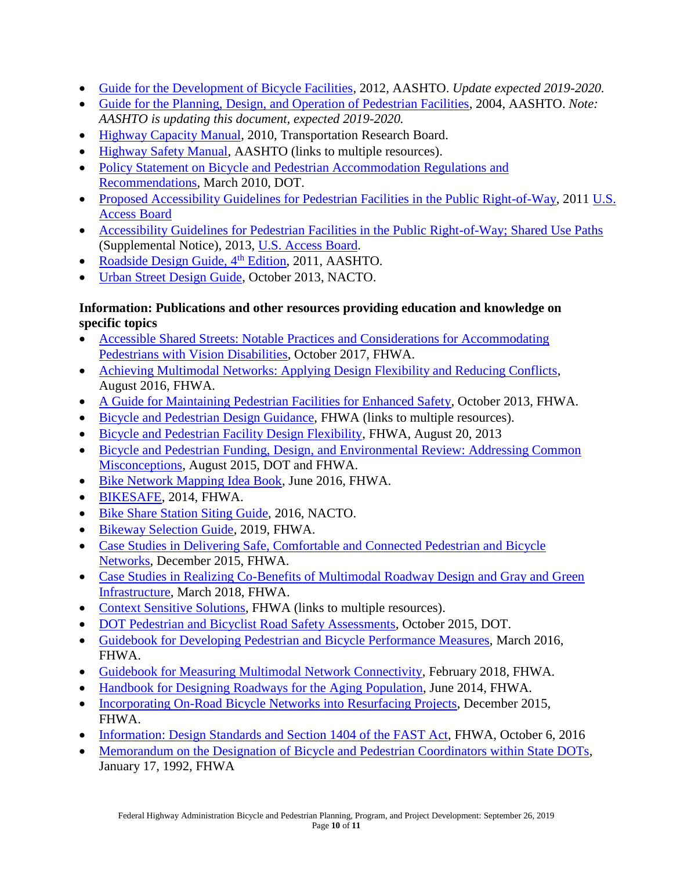- [Guide for the Development of Bicycle Facilities,](https://bookstore.transportation.org/collection_detail.aspx?ID=116) 2012, AASHTO. *Update expected 2019-2020.*
- [Guide for the Planning, Design, and Operation of Pedestrian Facilities,](https://bookstore.transportation.org/item_details.aspx?id=119) 2004, AASHTO. *Note: AASHTO is updating this document, expected 2019-2020.*
- [Highway Capacity Manual,](http://hcm.trb.org/) 2010, Transportation Research Board.
- [Highway Safety Manual,](http://www.highwaysafetymanual.org/) AASHTO (links to multiple resources).
- Policy Statement on Bicycle and Pedestrian Accommodation Regulations and [Recommendations,](https://www.fhwa.dot.gov/environment/bicycle_pedestrian/guidance/policy_accom.cfm) March 2010, DOT.
- [Proposed Accessibility Guidelines for Pedestrian Facilities in the Public Right-of-Way,](https://www.access-board.gov/guidelines-and-standards/streets-sidewalks/public-rights-of-way/proposed-rights-of-way-guidelines) 2011 U.S. [Access Board](http://www.access-board.gov/)
- [Accessibility Guidelines for Pedestrian Facilities in the Public Right-of-Way; Shared Use Paths](https://www.access-board.gov/guidelines-and-standards/streets-sidewalks/shared-use-paths/supplemental-notice) (Supplemental Notice), 2013, [U.S. Access Board.](https://www.access-board.gov/)
- [Roadside Design Guide, 4](https://store.transportation.org/item/collectiondetail/105)<sup>th</sup> Edition, 2011, AASHTO.
- [Urban Street Design Guide,](https://islandpress.org/books/urban-street-design-guide) October 2013, NACTO.

#### **Information: Publications and other resources providing education and knowledge on specific topics**

- [Accessible Shared Streets: Notable Practices and Considerations for Accommodating](https://www.fhwa.dot.gov/environment/bicycle_pedestrian/publications/accessible_shared_streets/)  [Pedestrians with Vision Disabilities,](https://www.fhwa.dot.gov/environment/bicycle_pedestrian/publications/accessible_shared_streets/) October 2017, FHWA.
- [Achieving Multimodal Networks: Applying Design Flexibility and Reducing Conflicts,](https://www.fhwa.dot.gov/environment/bicycle_pedestrian/publications/multimodal_networks/) August 2016, FHWA.
- [A Guide for Maintaining Pedestrian Facilities for Enhanced Safety,](http://safety.fhwa.dot.gov/ped_bike/tools_solve/fhwasa13037/) October 2013, FHWA.
- [Bicycle and Pedestrian Design Guidance,](https://www.fhwa.dot.gov/environment/bicycle_pedestrian/guidance/index.cfm) FHWA (links to multiple resources).
- [Bicycle and Pedestrian Facility Design Flexibility,](https://www.fhwa.dot.gov/environment/bicycle_pedestrian/guidance/design_flexibility.cfm) FHWA, August 20, 2013
- [Bicycle and Pedestrian Funding, Design, and Environmental Review: Addressing Common](https://www.fhwa.dot.gov/environment/bicycle_pedestrian/guidance/misconceptions.cfm)  [Misconceptions,](https://www.fhwa.dot.gov/environment/bicycle_pedestrian/guidance/misconceptions.cfm) August 2015, DOT and FHWA.
- [Bike Network Mapping Idea Book,](https://www.fhwa.dot.gov/environment/bicycle_pedestrian/publications/bikemap_book/) June 2016, FHWA.
- [BIKESAFE,](http://pedbikesafe.org/BIKESAFE/index.cfm) 2014, FHWA.
- [Bike Share Station Siting Guide,](https://nacto.org/publication/bike-share-station-siting-guide/) 2016, NACTO.
- [Bikeway Selection Guide,](https://safety.fhwa.dot.gov/ped_bike/tools_solve/) 2019, FHWA.
- [Case Studies in Delivering Safe, Comfortable and Connected Pedestrian and Bicycle](http://www.fhwa.dot.gov/environment/bicycle_pedestrian/publications/network_report/)  [Networks,](http://www.fhwa.dot.gov/environment/bicycle_pedestrian/publications/network_report/) December 2015, FHWA.
- Case Studies in Realizing Co-Benefits of Multimodal Roadway Design and Gray and Green [Infrastructure,](https://www.fhwa.dot.gov/environment/bicycle_pedestrian/publications/multimodal_green_infrastructure/) March 2018, FHWA.
- [Context Sensitive Solutions,](http://contextsensitivesolutions.org/) FHWA (links to multiple resources).
- [DOT Pedestrian and Bicyclist Road Safety Assessments,](https://www.transportation.gov/ped-bike-safety/pedestrian-and-bicyclist-safety-assessment-report) October 2015, DOT.
- [Guidebook for Developing Pedestrian and Bicycle Performance Measures,](http://www.fhwa.dot.gov/environment/bicycle_pedestrian/publications/performance_measures_guidebook/) March 2016, FHWA.
- [Guidebook for Measuring Multimodal Network Connectivity,](https://www.fhwa.dot.gov/environment/bicycle_pedestrian/publications/multimodal_connectivity/) February 2018, FHWA.
- [Handbook for Designing Roadways for the Aging Population,](http://safety.fhwa.dot.gov/older_users/handbook/) June 2014, FHWA.
- [Incorporating On-Road Bicycle Networks into Resurfacing Projects,](http://www.fhwa.dot.gov/environment/bicycle_pedestrian/publications/resurfacing/) December 2015, FHWA.
- [Information: Design Standards and Section 1404 of the FAST Act,](https://www.fhwa.dot.gov/design/standards/161006.cfm) FHWA, October 6, 2016
- [Memorandum on the Designation of Bicycle and Pedestrian Coordinators within State DOTs,](http://www.fhwa.dot.gov/environment/bicycle_pedestrian/legislation/desigcoord.cfm) January 17, 1992, FHWA